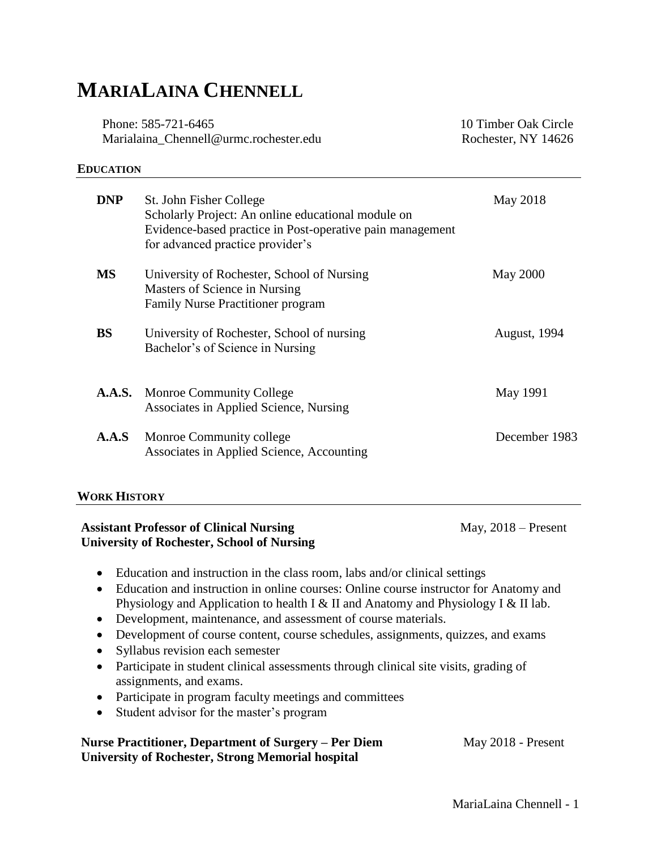# **MARIALAINA CHENNELL**

Phone: 585-721-6465 Marialaina\_Chennell@urmc.rochester.edu 10 Timber Oak Circle Rochester, NY 14626

#### **EDUCATION**

| <b>DNP</b> | St. John Fisher College<br>Scholarly Project: An online educational module on<br>Evidence-based practice in Post-operative pain management<br>for advanced practice provider's | May 2018            |
|------------|--------------------------------------------------------------------------------------------------------------------------------------------------------------------------------|---------------------|
| <b>MS</b>  | University of Rochester, School of Nursing<br>Masters of Science in Nursing<br>Family Nurse Practitioner program                                                               | May 2000            |
| <b>BS</b>  | University of Rochester, School of nursing<br>Bachelor's of Science in Nursing                                                                                                 | <b>August, 1994</b> |
|            | <b>A.A.S.</b> Monroe Community College<br>Associates in Applied Science, Nursing                                                                                               | May 1991            |
| A.A.S      | Monroe Community college<br>Associates in Applied Science, Accounting                                                                                                          | December 1983       |

#### **WORK HISTORY**

#### **Assistant Professor of Clinical Nursing Theory Communist Construction May, 2018 – Present University of Rochester, School of Nursing**

- Education and instruction in the class room, labs and/or clinical settings
- Education and instruction in online courses: Online course instructor for Anatomy and Physiology and Application to health I & II and Anatomy and Physiology I & II lab.
- Development, maintenance, and assessment of course materials.
- Development of course content, course schedules, assignments, quizzes, and exams
- Syllabus revision each semester
- Participate in student clinical assessments through clinical site visits, grading of assignments, and exams.
- Participate in program faculty meetings and committees
- Student advisor for the master's program

#### **Nurse Practitioner, Department of Surgery – Per Diem May 2018 - Present University of Rochester, Strong Memorial hospital**

MariaLaina Chennell - 1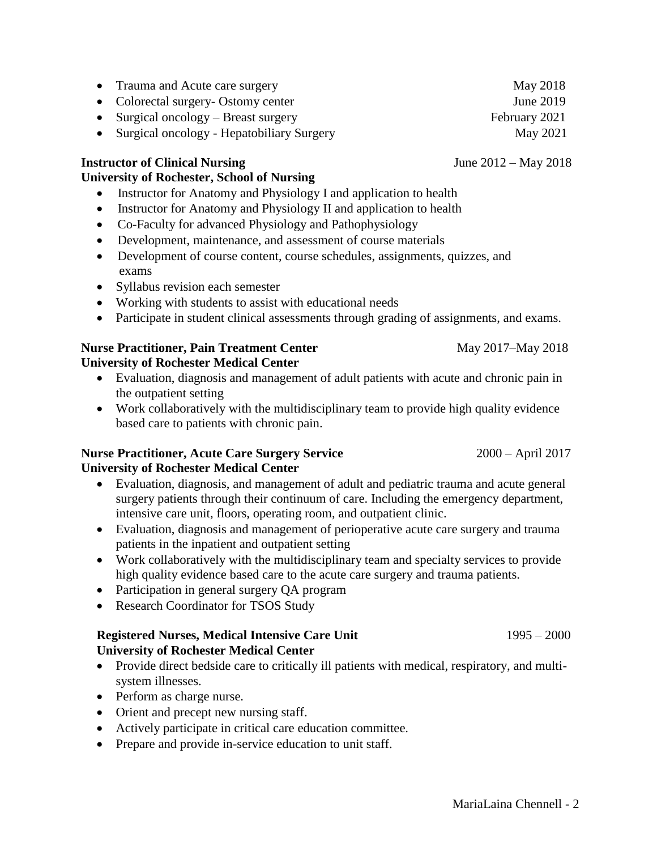- Trauma and Acute care surgery May 2018
- Colorectal surgery- Ostomy center June 2019
- Surgical oncology Breast surgery February 2021
- Surgical oncology Hepatobiliary Surgery May 2021

## **Instructor of Clinical Nursing** *June 2012 – May 2018*

## **University of Rochester, School of Nursing**

- Instructor for Anatomy and Physiology I and application to health
- Instructor for Anatomy and Physiology II and application to health
- Co-Faculty for advanced Physiology and Pathophysiology
- Development, maintenance, and assessment of course materials
- Development of course content, course schedules, assignments, quizzes, and exams
- Syllabus revision each semester
- Working with students to assist with educational needs
- Participate in student clinical assessments through grading of assignments, and exams.

## **Nurse Practitioner, Pain Treatment Center May 2017–May 2018**

## **University of Rochester Medical Center**

- Evaluation, diagnosis and management of adult patients with acute and chronic pain in the outpatient setting
- Work collaboratively with the multidisciplinary team to provide high quality evidence based care to patients with chronic pain.

#### **Nurse Practitioner, Acute Care Surgery Service** 2000 – April 2017 **University of Rochester Medical Center**

- Evaluation, diagnosis, and management of adult and pediatric trauma and acute general surgery patients through their continuum of care. Including the emergency department, intensive care unit, floors, operating room, and outpatient clinic.
- Evaluation, diagnosis and management of perioperative acute care surgery and trauma patients in the inpatient and outpatient setting
- Work collaboratively with the multidisciplinary team and specialty services to provide high quality evidence based care to the acute care surgery and trauma patients.
- Participation in general surgery QA program
- Research Coordinator for TSOS Study

## **Registered Nurses, Medical Intensive Care Unit** 1995 – 2000 **University of Rochester Medical Center**

- Provide direct bedside care to critically ill patients with medical, respiratory, and multisystem illnesses.
- Perform as charge nurse.
- Orient and precept new nursing staff.
- Actively participate in critical care education committee.
- Prepare and provide in-service education to unit staff.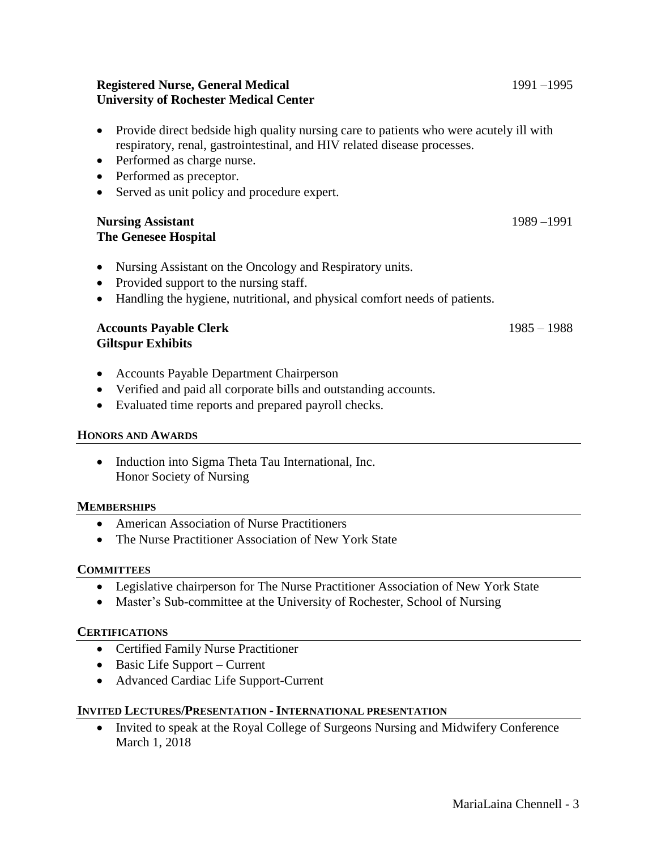#### **Registered Nurse, General Medical** 1991 –1995 **University of Rochester Medical Center**

- Provide direct bedside high quality nursing care to patients who were acutely ill with respiratory, renal, gastrointestinal, and HIV related disease processes.
- Performed as charge nurse.
- Performed as preceptor.
- Served as unit policy and procedure expert.

#### **Nursing Assistant** 1989 –1991 **The Genesee Hospital**

- Nursing Assistant on the Oncology and Respiratory units.
- Provided support to the nursing staff.
- Handling the hygiene, nutritional, and physical comfort needs of patients.

#### **Accounts Payable Clerk** 1985 – 1988 **Giltspur Exhibits**

- Accounts Payable Department Chairperson
- Verified and paid all corporate bills and outstanding accounts.
- Evaluated time reports and prepared payroll checks.

#### **HONORS AND AWARDS**

• Induction into Sigma Theta Tau International, Inc. Honor Society of Nursing

#### **MEMBERSHIPS**

- American Association of Nurse Practitioners
- The Nurse Practitioner Association of New York State

#### **COMMITTEES**

- Legislative chairperson for The Nurse Practitioner Association of New York State
- Master's Sub-committee at the University of Rochester, School of Nursing

#### **CERTIFICATIONS**

- Certified Family Nurse Practitioner
- $\bullet$  Basic Life Support Current
- Advanced Cardiac Life Support-Current

#### **INVITED LECTURES/PRESENTATION - INTERNATIONAL PRESENTATION**

• Invited to speak at the Royal College of Surgeons Nursing and Midwifery Conference March 1, 2018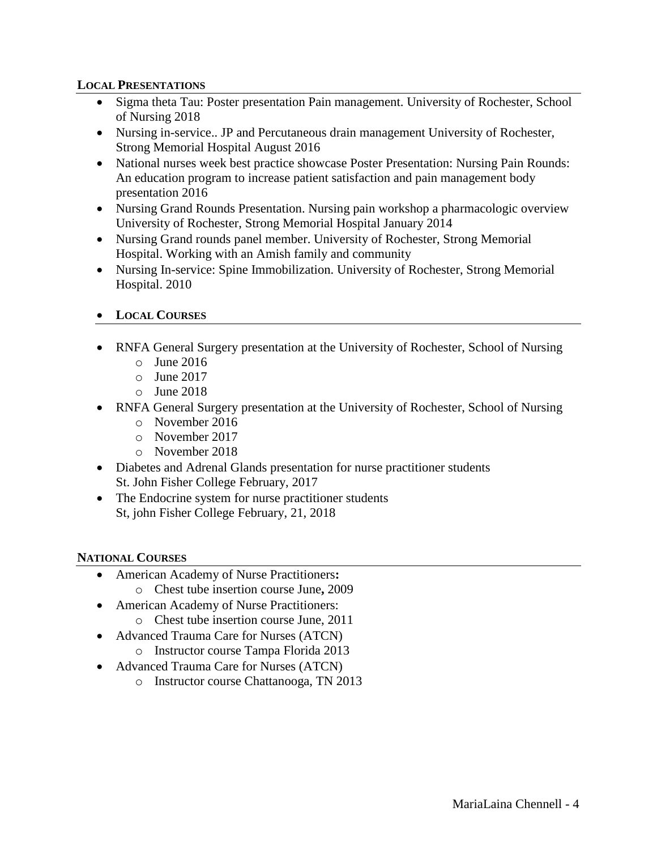#### **LOCAL PRESENTATIONS**

- Sigma theta Tau: Poster presentation Pain management. University of Rochester, School of Nursing 2018
- Nursing in-service.. JP and Percutaneous drain management University of Rochester, Strong Memorial Hospital August 2016
- National nurses week best practice showcase Poster Presentation: Nursing Pain Rounds: An education program to increase patient satisfaction and pain management body presentation 2016
- Nursing Grand Rounds Presentation. Nursing pain workshop a pharmacologic overview University of Rochester, Strong Memorial Hospital January 2014
- Nursing Grand rounds panel member. University of Rochester, Strong Memorial Hospital. Working with an Amish family and community
- Nursing In-service: Spine Immobilization. University of Rochester, Strong Memorial Hospital. 2010
- **LOCAL COURSES**
- RNFA General Surgery presentation at the University of Rochester, School of Nursing
	- $\circ$  June 2016
	- o June 2017
	- o June 2018
- RNFA General Surgery presentation at the University of Rochester, School of Nursing
	- o November 2016
	- o November 2017
	- o November 2018
- Diabetes and Adrenal Glands presentation for nurse practitioner students St. John Fisher College February, 2017
- The Endocrine system for nurse practitioner students St, john Fisher College February, 21, 2018

#### **NATIONAL COURSES**

- American Academy of Nurse Practitioners**:** 
	- o Chest tube insertion course June**,** 2009
- American Academy of Nurse Practitioners:
	- o Chest tube insertion course June, 2011
- Advanced Trauma Care for Nurses (ATCN)
	- o Instructor course Tampa Florida 2013
- Advanced Trauma Care for Nurses (ATCN)
	- o Instructor course Chattanooga, TN 2013